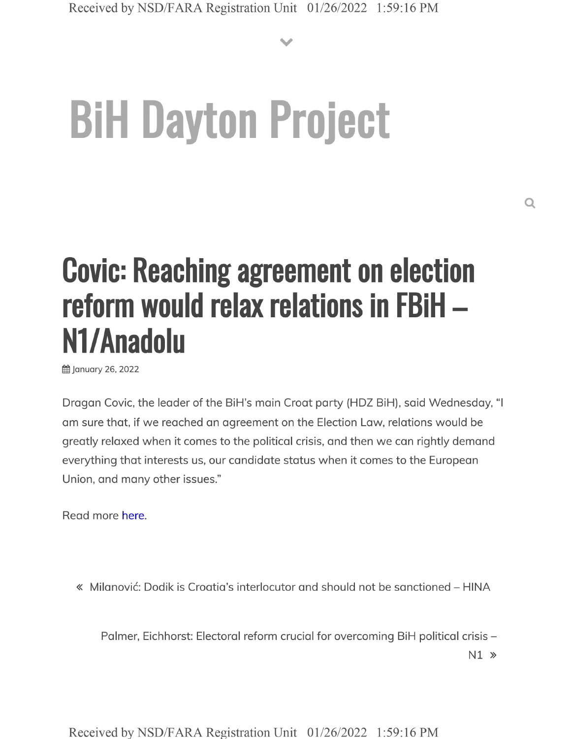**V**

## **BiH Dayton Project**

## **Covic: Reaching agreement on election reform would relax relations in FBiH - Nl/Anadolu**

**曲 January 26, 2022** 

Dragan Covic, the leader of the BiH's main Croat party (HDZ BiH), said Wednesday, "I am sure that, if we reached an agreement on the Election Law, relations would be greatly relaxed when it comes to the political crisis, and then we can rightly demand everything that interests us, our candidate status when it comes to the European Union, and many other issues."

Read more here.

« Milanovic: Dodik is Croatia's interlocutor and should not be sanctioned - HINA

Palmer, Eichhorst: Electoral reform crucial for overcoming BiH political crisis -

N1 »

Received by NSD/FARA Registration Unit 01/26/2022 1:59:16 PM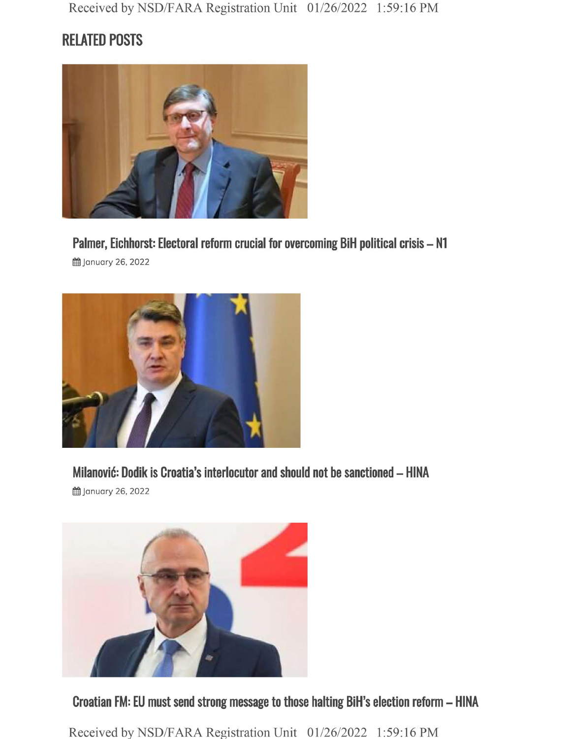## **RELATED POSTS**



**Palmer, Eichhorst: Electoral reform crucial for overcoming BiH political crisis - N1**

**曲 January 26, 2022** 



**Milanovic: Dodik is Croatia's interlocutor and should not be sanctioned - HINA**

§§ January 26,2022



**Croatian FM: EU must send strong message to those halting BiH's election reform - HINA**

Received by NSD/FARA Registration Unit 01/26/2022 1:59:16 PM